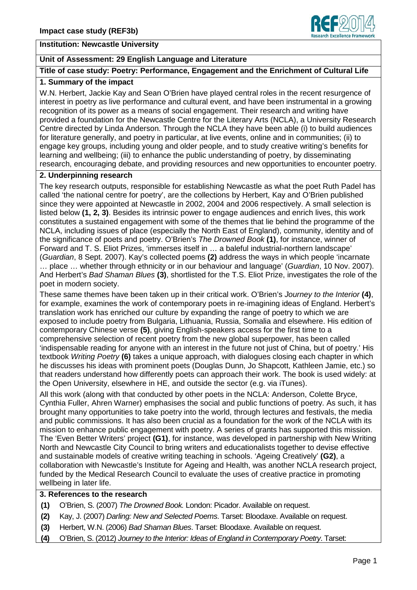

#### **Institution: Newcastle University**

## **Unit of Assessment: 29 English Language and Literature**

## **Title of case study: Poetry: Performance, Engagement and the Enrichment of Cultural Life**

## **1. Summary of the impact**

W.N. Herbert, Jackie Kay and Sean O'Brien have played central roles in the recent resurgence of interest in poetry as live performance and cultural event, and have been instrumental in a growing recognition of its power as a means of social engagement. Their research and writing have provided a foundation for the Newcastle Centre for the Literary Arts (NCLA), a University Research Centre directed by Linda Anderson. Through the NCLA they have been able (i) to build audiences for literature generally, and poetry in particular, at live events, online and in communities; (ii) to engage key groups, including young and older people, and to study creative writing's benefits for learning and wellbeing; (iii) to enhance the public understanding of poetry, by disseminating research, encouraging debate, and providing resources and new opportunities to encounter poetry.

#### **2. Underpinning research**

The key research outputs, responsible for establishing Newcastle as what the poet Ruth Padel has called 'the national centre for poetry', are the collections by Herbert, Kay and O'Brien published since they were appointed at Newcastle in 2002, 2004 and 2006 respectively. A small selection is listed below **(1, 2, 3)**. Besides its intrinsic power to engage audiences and enrich lives, this work constitutes a sustained engagement with some of the themes that lie behind the programme of the NCLA, including issues of place (especially the North East of England), community, identity and of the significance of poets and poetry. O'Brien's *The Drowned Book* **(1)**, for instance, winner of Forward and T. S. Eliot Prizes, 'immerses itself in … a baleful industrial-northern landscape' (*Guardian*, 8 Sept. 2007). Kay's collected poems **(2)** address the ways in which people 'incarnate … place … whether through ethnicity or in our behaviour and language' (*Guardian*, 10 Nov. 2007). And Herbert's *Bad Shaman Blues* **(3)**, shortlisted for the T.S. Eliot Prize, investigates the role of the poet in modern society.

These same themes have been taken up in their critical work. O'Brien's *Journey to the Interior* **(4)**, for example, examines the work of contemporary poets in re-imagining ideas of England. Herbert's translation work has enriched our culture by expanding the range of poetry to which we are exposed to include poetry from Bulgaria, Lithuania, Russia, Somalia and elsewhere. His edition of contemporary Chinese verse **(5)**, giving English-speakers access for the first time to a comprehensive selection of recent poetry from the new global superpower, has been called 'indispensable reading for anyone with an interest in the future not just of China, but of poetry.' His textbook *Writing Poetry* **(6)** takes a unique approach, with dialogues closing each chapter in which he discusses his ideas with prominent poets (Douglas Dunn, Jo Shapcott, Kathleen Jamie, etc.) so that readers understand how differently poets can approach their work. The book is used widely: at the Open University, elsewhere in HE, and outside the sector (e.g. via iTunes).

All this work (along with that conducted by other poets in the NCLA: Anderson, Colette Bryce, Cynthia Fuller, Ahren Warner) emphasises the social and public functions of poetry. As such, it has brought many opportunities to take poetry into the world, through lectures and festivals, the media and public commissions. It has also been crucial as a foundation for the work of the NCLA with its mission to enhance public engagement with poetry. A series of grants has supported this mission. The 'Even Better Writers' project **(G1)**, for instance, was developed in partnership with New Writing North and Newcastle City Council to bring writers and educationalists together to devise effective and sustainable models of creative writing teaching in schools. 'Ageing Creatively' **(G2)**, a collaboration with Newcastle's Institute for Ageing and Health, was another NCLA research project, funded by the Medical Research Council to evaluate the uses of creative practice in promoting wellbeing in later life.

# **3. References to the research**

- **(1)** O'Brien, S. (2007) *The Drowned Book.* London: Picador. Available on request.
- **(2)** Kay, J. (2007) *Darling: New and Selected Poems*. Tarset: Bloodaxe. Available on request.
- **(3)** Herbert, W.N. (2006) *Bad Shaman Blues*. Tarset: Bloodaxe. Available on request.
- **(4)** O'Brien, S. (2012) *Journey to the Interior: Ideas of England in Contemporary Poetry*. Tarset: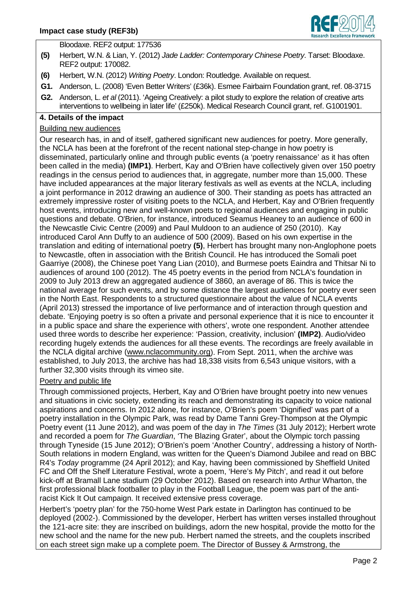

Bloodaxe. REF2 output: 177536

- **(5)** Herbert, W.N. & Lian, Y. (2012) *Jade Ladder: Contemporary Chinese Poetry*. Tarset: Bloodaxe. REF2 output: 170082.
- **(6)** Herbert, W.N. (2012) *Writing Poetry*. London: Routledge. Available on request.
- **G1.** Anderson, L. (2008) 'Even Better Writers' (£36k). Esmee Fairbairn Foundation grant, ref. 08-3715
- **G2.** Anderson, L. *et al* (2011). 'Ageing Creatively: a pilot study to explore the relation of creative arts interventions to wellbeing in later life' (£250k). Medical Research Council grant, ref. G1001901.

## **4. Details of the impact**

## Building new audiences

Our research has, in and of itself, gathered significant new audiences for poetry. More generally, the NCLA has been at the forefront of the recent national step-change in how poetry is disseminated, particularly online and through public events (a 'poetry renaissance' as it has often been called in the media) **(IMP1)**. Herbert, Kay and O'Brien have collectively given over 150 poetry readings in the census period to audiences that, in aggregate, number more than 15,000. These have included appearances at the major literary festivals as well as events at the NCLA, including a joint performance in 2012 drawing an audience of 300. Their standing as poets has attracted an extremely impressive roster of visiting poets to the NCLA, and Herbert, Kay and O'Brien frequently host events, introducing new and well-known poets to regional audiences and engaging in public questions and debate. O'Brien, for instance, introduced Seamus Heaney to an audience of 600 in the Newcastle Civic Centre (2009) and Paul Muldoon to an audience of 250 (2010). Kay introduced Carol Ann Duffy to an audience of 500 (2009). Based on his own expertise in the translation and editing of international poetry **(5)**, Herbert has brought many non-Anglophone poets to Newcastle, often in association with the British Council. He has introduced the Somali poet Gaarriye (2008), the Chinese poet Yang Lian (2010), and Burmese poets Eaindra and Thitsar Ni to audiences of around 100 (2012). The 45 poetry events in the period from NCLA's foundation in 2009 to July 2013 drew an aggregated audience of 3860, an average of 86. This is twice the national average for such events, and by some distance the largest audiences for poetry ever seen in the North East. Respondents to a structured questionnaire about the value of NCLA events (April 2013) stressed the importance of live performance and of interaction through question and debate. 'Enjoying poetry is so often a private and personal experience that it is nice to encounter it in a public space and share the experience with others', wrote one respondent. Another attendee used three words to describe her experience: 'Passion, creativity, inclusion' **(IMP2)**. Audio/video recording hugely extends the audiences for all these events. The recordings are freely available in the NCLA digital archive (www.nclacommunity.org). From Sept. 2011, when the archive was established, to July 2013, the archive has had 18,338 visits from 6,543 unique visitors, with a further 32,300 visits through its vimeo site.

# Poetry and public life

Through commissioned projects, Herbert, Kay and O'Brien have brought poetry into new venues and situations in civic society, extending its reach and demonstrating its capacity to voice national aspirations and concerns. In 2012 alone, for instance, O'Brien's poem 'Dignified' was part of a poetry installation in the Olympic Park, was read by Dame Tanni Grey-Thompson at the Olympic Poetry event (11 June 2012), and was poem of the day in *The Times* (31 July 2012); Herbert wrote and recorded a poem for *The Guardian*, 'The Blazing Grater', about the Olympic torch passing through Tyneside (15 June 2012); O'Brien's poem 'Another Country', addressing a history of North-South relations in modern England, was written for the Queen's Diamond Jubilee and read on BBC R4's *Today* programme (24 April 2012); and Kay, having been commissioned by Sheffield United FC and Off the Shelf Literature Festival, wrote a poem, 'Here's My Pitch', and read it out before kick-off at Bramall Lane stadium (29 October 2012). Based on research into Arthur Wharton, the first professional black footballer to play in the Football League, the poem was part of the antiracist Kick It Out campaign. It received extensive press coverage.

Herbert's 'poetry plan' for the 750-home West Park estate in Darlington has continued to be deployed (2002-). Commissioned by the developer, Herbert has written verses installed throughout the 121-acre site: they are inscribed on buildings, adorn the new hospital, provide the motto for the new school and the name for the new pub. Herbert named the streets, and the couplets inscribed on each street sign make up a complete poem. The Director of Bussey & Armstrong, the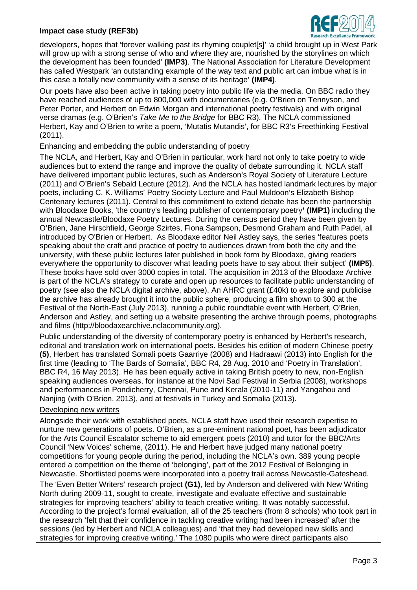

developers, hopes that 'forever walking past its rhyming couplet[s]' 'a child brought up in West Park will grow up with a strong sense of who and where they are, nourished by the storylines on which the development has been founded' **(IMP3)**. The National Association for Literature Development has called Westpark 'an outstanding example of the way text and public art can imbue what is in this case a totally new community with a sense of its heritage' **(IMP4)**.

Our poets have also been active in taking poetry into public life via the media. On BBC radio they have reached audiences of up to 800,000 with documentaries (e.g. O'Brien on Tennyson, and Peter Porter, and Herbert on Edwin Morgan and international poetry festivals) and with original verse dramas (e.g. O'Brien's *Take Me to the Bridge* for BBC R3). The NCLA commissioned Herbert, Kay and O'Brien to write a poem, 'Mutatis Mutandis', for BBC R3's Freethinking Festival (2011).

## Enhancing and embedding the public understanding of poetry

The NCLA, and Herbert, Kay and O'Brien in particular, work hard not only to take poetry to wide audiences but to extend the range and improve the quality of debate surrounding it. NCLA staff have delivered important public lectures, such as Anderson's Royal Society of Literature Lecture (2011) and O'Brien's Sebald Lecture (2012). And the NCLA has hosted landmark lectures by major poets, including C. K. Williams' Poetry Society Lecture and Paul Muldoon's Elizabeth Bishop Centenary lectures (2011). Central to this commitment to extend debate has been the partnership with Bloodaxe Books, 'the country's leading publisher of contemporary poetry**' (IMP1)** including the annual Newcastle/Bloodaxe Poetry Lectures. During the census period they have been given by O'Brien, Jane Hirschfield, George Szirtes, Fiona Sampson, Desmond Graham and Ruth Padel, all introduced by O'Brien or Herbert. As Bloodaxe editor Neil Astley says, the series 'features poets speaking about the craft and practice of poetry to audiences drawn from both the city and the university, with these public lectures later published in book form by Bloodaxe, giving readers everywhere the opportunity to discover what leading poets have to say about their subject' **(IMP5)**. These books have sold over 3000 copies in total. The acquisition in 2013 of the Bloodaxe Archive is part of the NCLA's strategy to curate and open up resources to facilitate public understanding of poetry (see also the NCLA digital archive, above). An AHRC grant (£40k) to explore and publicise the archive has already brought it into the public sphere, producing a film shown to 300 at the Festival of the North-East (July 2013), running a public roundtable event with Herbert, O'Brien, Anderson and Astley, and setting up a website presenting the archive through poems, photographs and films (http://bloodaxearchive.nclacommunity.org).

Public understanding of the diversity of contemporary poetry is enhanced by Herbert's research, editorial and translation work on international poets. Besides his edition of modern Chinese poetry **(5)**, Herbert has translated Somali poets Gaarriye (2008) and Hadraawi (2013) into English for the first time (leading to 'The Bards of Somalia', BBC R4, 28 Aug. 2010 and 'Poetry in Translation', BBC R4, 16 May 2013). He has been equally active in taking British poetry to new, non-English speaking audiences overseas, for instance at the Novi Sad Festival in Serbia (2008), workshops and performances in Pondicherry, Chennai, Pune and Kerala (2010-11) and Yangahou and Nanjing (with O'Brien, 2013), and at festivals in Turkey and Somalia (2013).

## Developing new writers

Alongside their work with established poets, NCLA staff have used their research expertise to nurture new generations of poets. O'Brien, as a pre-eminent national poet, has been adjudicator for the Arts Council Escalator scheme to aid emergent poets (2010) and tutor for the BBC/Arts Council 'New Voices' scheme, (2011). He and Herbert have judged many national poetry competitions for young people during the period, including the NCLA's own. 389 young people entered a competition on the theme of 'belonging', part of the 2012 Festival of Belonging in Newcastle. Shortlisted poems were incorporated into a poetry trail across Newcastle-Gateshead.

The 'Even Better Writers' research project **(G1)**, led by Anderson and delivered with New Writing North during 2009-11, sought to create, investigate and evaluate effective and sustainable strategies for improving teachers' ability to teach creative writing. It was notably successful. According to the project's formal evaluation, all of the 25 teachers (from 8 schools) who took part in the research 'felt that their confidence in tackling creative writing had been increased' after the sessions (led by Herbert and NCLA colleagues) and 'that they had developed new skills and strategies for improving creative writing.' The 1080 pupils who were direct participants also